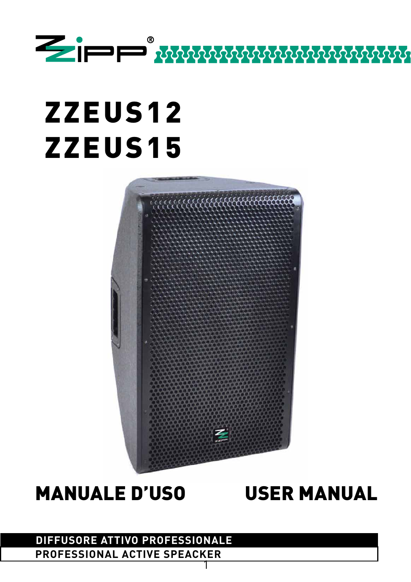

# ZZEUS12 ZZEUS15



## MANUALE D'USO USER MANUAL

#### 1 **DIFFUSORE ATTIVO PROFESSIONALE PROFESSIONAL ACTIVE SPEACKER**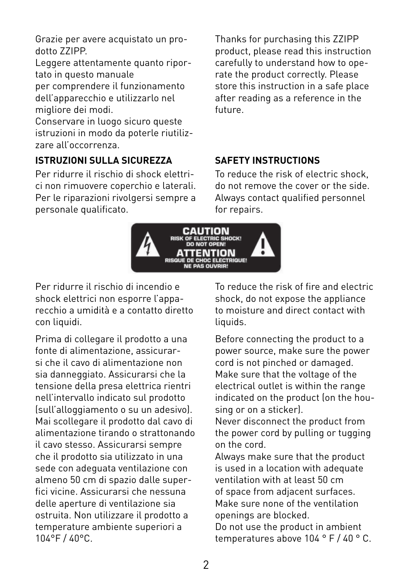Grazie per avere acquistato un prodotto ZZIPP.

Leggere attentamente quanto riportato in questo manuale per comprendere il funzionamento dell'apparecchio e utilizzarlo nel migliore dei modi.

Conservare in luogo sicuro queste istruzioni in modo da poterle riutilizzare all'occorrenza.

#### **ISTRUZIONI SULLA SICUREZZA SAFETY INSTRUCTIONS**

Per ridurre il rischio di shock elettrici non rimuovere coperchio e laterali. Per le riparazioni rivolgersi sempre a personale qualificato.

Thanks for purchasing this ZZIPP product, please read this instruction carefully to understand how to operate the product correctly. Please store this instruction in a safe place after reading as a reference in the future.

To reduce the risk of electric shock, do not remove the cover or the side. Always contact qualified personnel for repairs.



Per ridurre il rischio di incendio e shock elettrici non esporre l'apparecchio a umidità e a contatto diretto con liquidi.

Prima di collegare il prodotto a una fonte di alimentazione, assicurarsi che il cavo di alimentazione non sia danneggiato. Assicurarsi che la tensione della presa elettrica rientri nell'intervallo indicato sul prodotto (sull'alloggiamento o su un adesivo). Mai scollegare il prodotto dal cavo di alimentazione tirando o strattonando il cavo stesso. Assicurarsi sempre che il prodotto sia utilizzato in una sede con adeguata ventilazione con almeno 50 cm di spazio dalle superfici vicine. Assicurarsi che nessuna delle aperture di ventilazione sia ostruita. Non utilizzare il prodotto a temperature ambiente superiori a 104°F / 40°C.

To reduce the risk of fire and electric shock, do not expose the appliance to moisture and direct contact with liquids.

Before connecting the product to a power source, make sure the power cord is not pinched or damaged. Make sure that the voltage of the electrical outlet is within the range indicated on the product (on the housing or on a sticker).

Never disconnect the product from the power cord by pulling or tugging on the cord.

Always make sure that the product is used in a location with adequate ventilation with at least 50 cm of space from adjacent surfaces. Make sure none of the ventilation openings are blocked.

Do not use the product in ambient temperatures above 104 ° F / 40 ° C.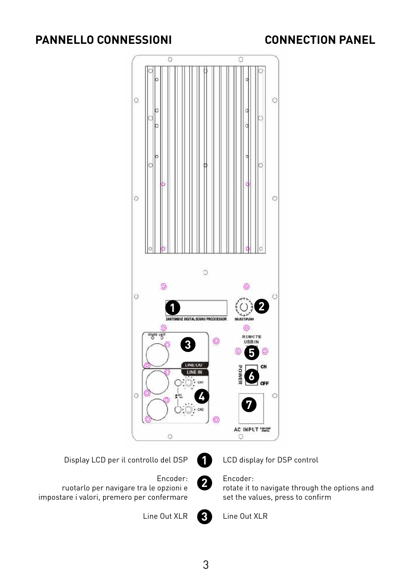## **PANNELLO CONNESSIONI CONNECTION PANEL**







Encoder: ruotarlo per navigare tra le opzioni e impostare i valori, premero per confermare

Line Out XLR

LCD display for DSP control

#### Encoder:

rotate it to navigate through the options and set the values, press to confirm



Line Out XLR

3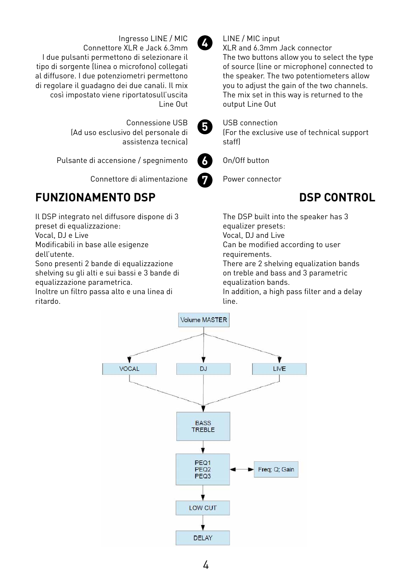

Ingresso LINE / MIC

Connettore XLR e Jack 6.3mm

(Ad uso esclusivo del personale di

Pulsante di accensione / spegnimento

I due pulsanti permettono di selezionare il tipo di sorgente (linea o microfono) collegati al diffusore. I due potenziometri permettono di regolare il guadagno dei due canali. Il mix così impostato viene riportatosull'uscita

#### LINE / MIC input

XLR and 6.3mm Jack connector The two buttons allow you to select the type of source (line or microphone) connected to the speaker. The two potentiometers allow you to adjust the gain of the two channels. The mix set in this way is returned to the output Line Out

**5**

Line Out

Connessione USB

assistenza tecnica)

#### USB connection

(For the exclusive use of technical support staff)



#### On/Off button

Connettore di alimentazione **7**

## **FUNZIONAMENTO DSP DSP CONTROL**

Il DSP integrato nel diffusore dispone di 3 preset di equalizzazione:

Vocal, DJ e Live

Modificabili in base alle esigenze dell'utente.

Sono presenti 2 bande di equalizzazione shelving su gli alti e sui bassi e 3 bande di equalizzazione parametrica.

Inoltre un filtro passa alto e una linea di ritardo.



Power connector

The DSP built into the speaker has 3 equalizer presets: Vocal, DJ and Live

Can be modified according to user

requirements.

There are 2 shelving equalization bands on treble and bass and 3 parametric equalization bands.

In addition, a high pass filter and a delay line.

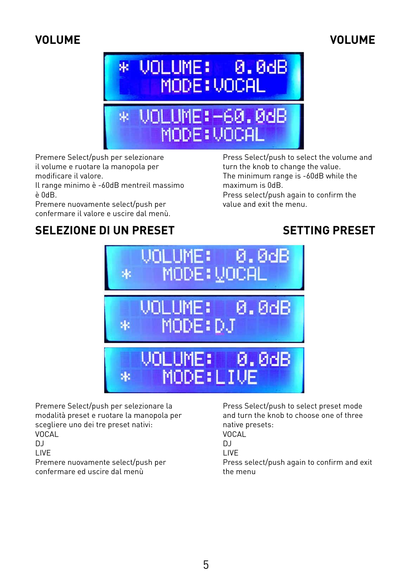#### **VOLUME**

## **VOLUME**



Premere Select/push per selezionare il volume e ruotare la manopola per modificare il valore.

Il range minimo è -60dB mentreil massimo è 0dB.

Premere nuovamente select/push per confermare il valore e uscire dal menù. Press Select/push to select the volume and turn the knob to change the value. The minimum range is -60dB while the maximum is 0dB.

Press select/push again to confirm the value and exit the menu.

#### **SELEZIONE DI UN PRESET**

#### **SETTING PRESET**



Premere Select/push per selezionare la modalità preset e ruotare la manopola per scegliere uno dei tre preset nativi: VOCAL  $D<sub>1</sub>$ LIVE Premere nuovamente select/push per confermare ed uscire dal menù

Press Select/push to select preset mode and turn the knob to choose one of three native presets:

VOCAL  $D<sub>1</sub>$ 

LIVE

Press select/push again to confirm and exit the menu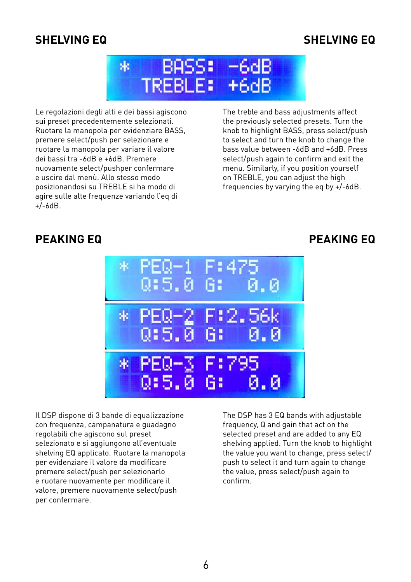#### **SHELVING EQ**

#### **SHELVING EQ**



Le regolazioni degli alti e dei bassi agiscono sui preset precedentemente selezionati. Ruotare la manopola per evidenziare BASS, premere select/push per selezionare e ruotare la manopola per variare il valore dei bassi tra -6dB e +6dB. Premere nuovamente select/pushper confermare e uscire dal menù. Allo stesso modo posizionandosi su TREBLE si ha modo di agire sulle alte frequenze variando l'eq di +/-6dB.

The treble and bass adjustments affect the previously selected presets. Turn the knob to highlight BASS, press select/push to select and turn the knob to change the bass value between -6dB and +6dB. Press select/push again to confirm and exit the menu. Similarly, if you position yourself on TREBLE, you can adjust the high frequencies by varying the eq by +/-6dB.

#### **PEAKING EQ**

#### **PEAKING EQ**



Il DSP dispone di 3 bande di equalizzazione con frequenza, campanatura e guadagno regolabili che agiscono sul preset selezionato e si aggiungono all'eventuale shelving EQ applicato. Ruotare la manopola per evidenziare il valore da modificare premere select/push per selezionarlo e ruotare nuovamente per modificare il valore, premere nuovamente select/push per confermare.

The DSP has 3 EQ bands with adjustable frequency, Q and gain that act on the selected preset and are added to any EQ shelving applied. Turn the knob to highlight the value you want to change, press select/ push to select it and turn again to change the value, press select/push again to confirm.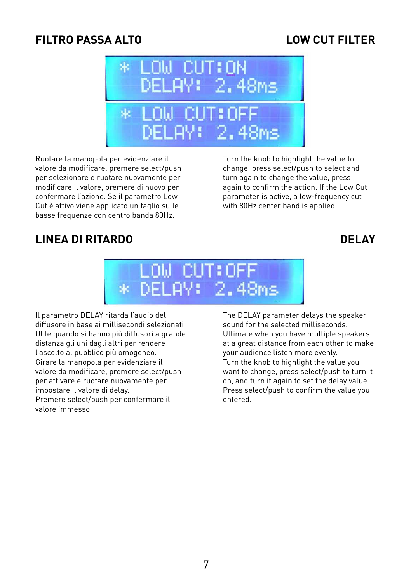#### **FILTRO PASSA ALTO**

#### **LOW CUT FILTER**



Ruotare la manopola per evidenziare il valore da modificare, premere select/push per selezionare e ruotare nuovamente per modificare il valore, premere di nuovo per confermare l'azione. Se il parametro Low Cut è attivo viene applicato un taglio sulle basse frequenze con centro banda 80Hz.

Turn the knob to highlight the value to change, press select/push to select and turn again to change the value, press again to confirm the action. If the Low Cut parameter is active, a low-frequency cut with 80Hz center band is applied.

#### **LINEA DI RITARDO**

#### **DELAY**



Il parametro DELAY ritarda l'audio del diffusore in base ai millisecondi selezionati. Ulile quando si hanno più diffusori a grande distanza gli uni dagli altri per rendere l'ascolto al pubblico più omogeneo. Girare la manopola per evidenziare il valore da modificare, premere select/push per attivare e ruotare nuovamente per impostare il valore di delay. Premere select/push per confermare il valore immesso.

The DELAY parameter delays the speaker sound for the selected milliseconds. Ultimate when you have multiple speakers at a great distance from each other to make your audience listen more evenly. Turn the knob to highlight the value you want to change, press select/push to turn it on, and turn it again to set the delay value. Press select/push to confirm the value you entered.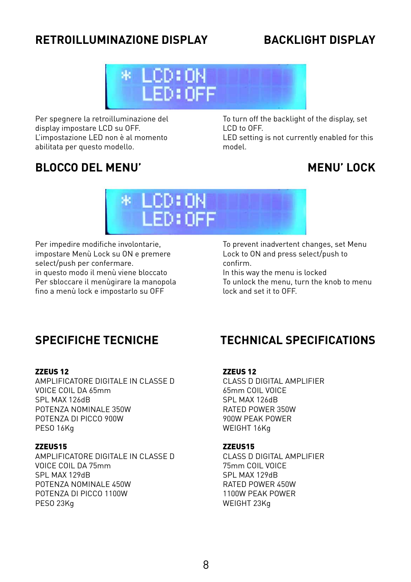## **RETROILLUMINAZIONE DISPLAY**

### **BACKLIGHT DISPLAY**



Per spegnere la retroilluminazione del display impostare LCD su OFF. L'impostazione LED non è al momento abilitata per questo modello.

To turn off the backlight of the display, set LCD to OFF.

LED setting is not currently enabled for this model.

## **BLOCCO DEL MENU'**

#### **MENU' LOCK**



Per impedire modifiche involontarie, impostare Menù Lock su ON e premere select/push per confermare. in questo modo il menù viene bloccato Per sbloccare il menùgirare la manopola fino a menù lock e impostarlo su OFF

To prevent inadvertent changes, set Menu Lock to ON and press select/push to confirm.

In this way the menu is locked To unlock the menu, turn the knob to menu lock and set it to OFF.

#### **SPECIFICHE TECNICHE**

#### ZZEUS 12

AMPLIFICATORE DIGITALE IN CLASSE D VOICE COIL DA 65mm SPL MAX 126dB POTENZA NOMINALE 350W POTENZA DI PICCO 900W PESO 16Kg

#### ZZEUS15

AMPLIFICATORE DIGITALE IN CLASSE D VOICE COIL DA 75mm SPL MAX 129dB POTENZA NOMINALE 450W POTENZA DI PICCO 1100W PESO 23Kg

#### **TECHNICAL SPECIFICATIONS**

#### ZZEUS 12

CLASS D DIGITAL AMPLIFIER 65mm COIL VOICE SPL MAX 126dB RATED POWER 350W 900W PEAK POWER WEIGHT 16Kg

#### ZZEUS15

CLASS D DIGITAL AMPLIFIER 75mm COIL VOICE SPL MAX 129dB RATED POWER 450W 1100W PEAK POWER WEIGHT 23Kg